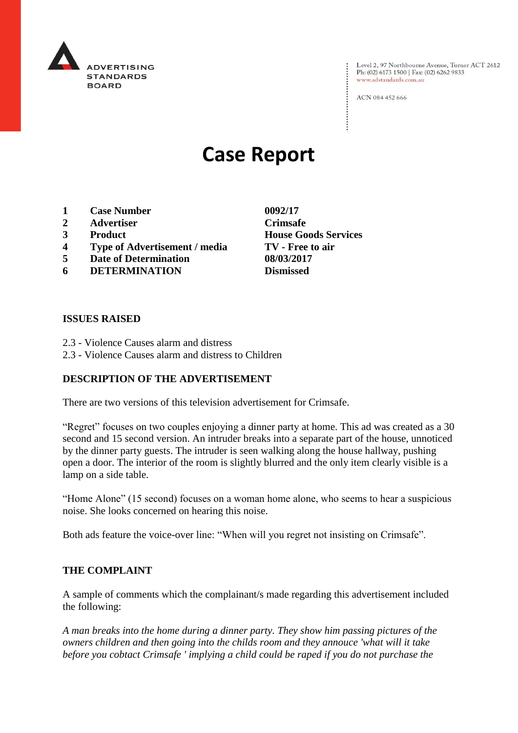

Level 2, 97 Northbourne Avenue, Turner ACT 2612<br>Ph: (02) 6173 1500 | Fax: (02) 6262 9833 www.adstandards.com.au

ACN 084 452 666

# **Case Report**

- **1 Case Number 0092/17**
- **2 Advertiser Crimsafe**
- **3 Product House Goods Services**
- **4 Type of Advertisement / media TV - Free to air**
- **5 Date of Determination 08/03/2017**
- **6 DETERMINATION Dismissed**

### **ISSUES RAISED**

- 2.3 Violence Causes alarm and distress
- 2.3 Violence Causes alarm and distress to Children

### **DESCRIPTION OF THE ADVERTISEMENT**

There are two versions of this television advertisement for Crimsafe.

"Regret" focuses on two couples enjoying a dinner party at home. This ad was created as a 30 second and 15 second version. An intruder breaks into a separate part of the house, unnoticed by the dinner party guests. The intruder is seen walking along the house hallway, pushing open a door. The interior of the room is slightly blurred and the only item clearly visible is a lamp on a side table.

"Home Alone" (15 second) focuses on a woman home alone, who seems to hear a suspicious noise. She looks concerned on hearing this noise.

Both ads feature the voice-over line: "When will you regret not insisting on Crimsafe".

### **THE COMPLAINT**

A sample of comments which the complainant/s made regarding this advertisement included the following:

*A man breaks into the home during a dinner party. They show him passing pictures of the owners children and then going into the childs room and they annouce 'what will it take before you cobtact Crimsafe ' implying a child could be raped if you do not purchase the*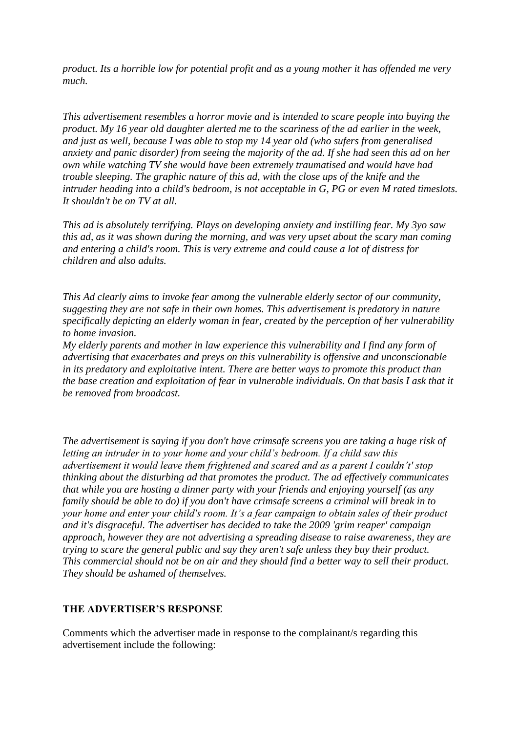*product. Its a horrible low for potential profit and as a young mother it has offended me very much.*

*This advertisement resembles a horror movie and is intended to scare people into buying the product. My 16 year old daughter alerted me to the scariness of the ad earlier in the week, and just as well, because I was able to stop my 14 year old (who sufers from generalised anxiety and panic disorder) from seeing the majority of the ad. If she had seen this ad on her own while watching TV she would have been extremely traumatised and would have had trouble sleeping. The graphic nature of this ad, with the close ups of the knife and the intruder heading into a child's bedroom, is not acceptable in G, PG or even M rated timeslots. It shouldn't be on TV at all.*

*This ad is absolutely terrifying. Plays on developing anxiety and instilling fear. My 3yo saw this ad, as it was shown during the morning, and was very upset about the scary man coming and entering a child's room. This is very extreme and could cause a lot of distress for children and also adults.*

*This Ad clearly aims to invoke fear among the vulnerable elderly sector of our community, suggesting they are not safe in their own homes. This advertisement is predatory in nature specifically depicting an elderly woman in fear, created by the perception of her vulnerability to home invasion.*

*My elderly parents and mother in law experience this vulnerability and I find any form of advertising that exacerbates and preys on this vulnerability is offensive and unconscionable in its predatory and exploitative intent. There are better ways to promote this product than the base creation and exploitation of fear in vulnerable individuals. On that basis I ask that it be removed from broadcast.*

*The advertisement is saying if you don't have crimsafe screens you are taking a huge risk of letting an intruder in to your home and your child's bedroom. If a child saw this advertisement it would leave them frightened and scared and as a parent I couldn't' stop thinking about the disturbing ad that promotes the product. The ad effectively communicates that while you are hosting a dinner party with your friends and enjoying yourself (as any family should be able to do) if you don't have crimsafe screens a criminal will break in to your home and enter your child's room. It's a fear campaign to obtain sales of their product and it's disgraceful. The advertiser has decided to take the 2009 'grim reaper' campaign approach, however they are not advertising a spreading disease to raise awareness, they are trying to scare the general public and say they aren't safe unless they buy their product. This commercial should not be on air and they should find a better way to sell their product. They should be ashamed of themselves.*

#### **THE ADVERTISER'S RESPONSE**

Comments which the advertiser made in response to the complainant/s regarding this advertisement include the following: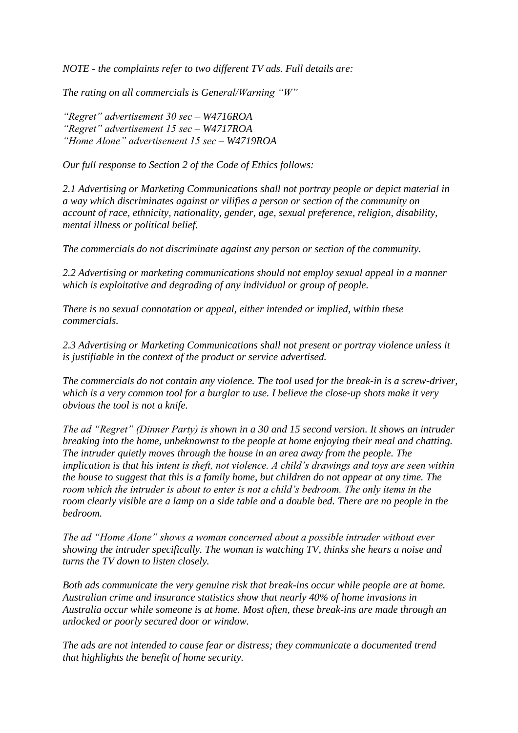*NOTE - the complaints refer to two different TV ads. Full details are:*

*The rating on all commercials is General/Warning "W"*

*"Regret" advertisement 30 sec – W4716ROA "Regret" advertisement 15 sec – W4717ROA "Home Alone" advertisement 15 sec – W4719ROA*

*Our full response to Section 2 of the Code of Ethics follows:*

*2.1 Advertising or Marketing Communications shall not portray people or depict material in a way which discriminates against or vilifies a person or section of the community on account of race, ethnicity, nationality, gender, age, sexual preference, religion, disability, mental illness or political belief.*

*The commercials do not discriminate against any person or section of the community.*

*2.2 Advertising or marketing communications should not employ sexual appeal in a manner which is exploitative and degrading of any individual or group of people.*

*There is no sexual connotation or appeal, either intended or implied, within these commercials.*

*2.3 Advertising or Marketing Communications shall not present or portray violence unless it is justifiable in the context of the product or service advertised.*

*The commercials do not contain any violence. The tool used for the break-in is a screw-driver, which is a very common tool for a burglar to use. I believe the close-up shots make it very obvious the tool is not a knife.*

*The ad "Regret" (Dinner Party) is shown in a 30 and 15 second version. It shows an intruder breaking into the home, unbeknownst to the people at home enjoying their meal and chatting. The intruder quietly moves through the house in an area away from the people. The implication is that his intent is theft, not violence. A child's drawings and toys are seen within the house to suggest that this is a family home, but children do not appear at any time. The room which the intruder is about to enter is not a child's bedroom. The only items in the room clearly visible are a lamp on a side table and a double bed. There are no people in the bedroom.*

*The ad "Home Alone" shows a woman concerned about a possible intruder without ever showing the intruder specifically. The woman is watching TV, thinks she hears a noise and turns the TV down to listen closely.*

*Both ads communicate the very genuine risk that break-ins occur while people are at home. Australian crime and insurance statistics show that nearly 40% of home invasions in Australia occur while someone is at home. Most often, these break-ins are made through an unlocked or poorly secured door or window.*

*The ads are not intended to cause fear or distress; they communicate a documented trend that highlights the benefit of home security.*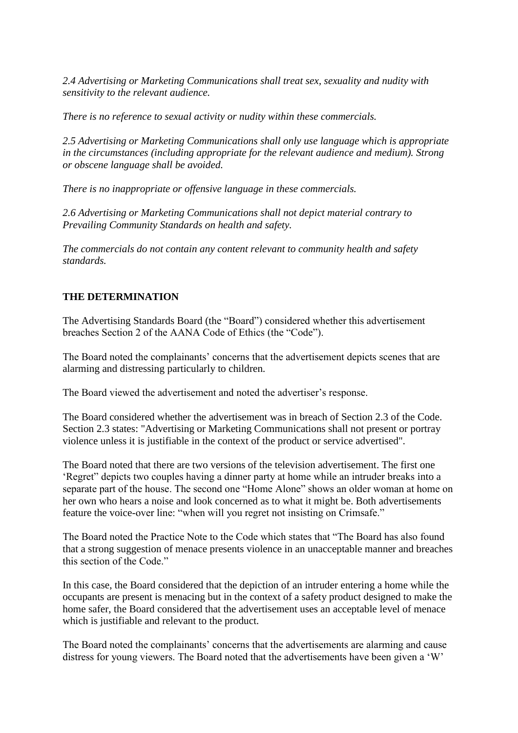*2.4 Advertising or Marketing Communications shall treat sex, sexuality and nudity with sensitivity to the relevant audience.*

*There is no reference to sexual activity or nudity within these commercials.*

*2.5 Advertising or Marketing Communications shall only use language which is appropriate in the circumstances (including appropriate for the relevant audience and medium). Strong or obscene language shall be avoided.*

*There is no inappropriate or offensive language in these commercials.*

*2.6 Advertising or Marketing Communications shall not depict material contrary to Prevailing Community Standards on health and safety.*

*The commercials do not contain any content relevant to community health and safety standards.*

## **THE DETERMINATION**

The Advertising Standards Board (the "Board") considered whether this advertisement breaches Section 2 of the AANA Code of Ethics (the "Code").

The Board noted the complainants' concerns that the advertisement depicts scenes that are alarming and distressing particularly to children.

The Board viewed the advertisement and noted the advertiser's response.

The Board considered whether the advertisement was in breach of Section 2.3 of the Code. Section 2.3 states: "Advertising or Marketing Communications shall not present or portray violence unless it is justifiable in the context of the product or service advertised".

The Board noted that there are two versions of the television advertisement. The first one 'Regret" depicts two couples having a dinner party at home while an intruder breaks into a separate part of the house. The second one "Home Alone" shows an older woman at home on her own who hears a noise and look concerned as to what it might be. Both advertisements feature the voice-over line: "when will you regret not insisting on Crimsafe."

The Board noted the Practice Note to the Code which states that "The Board has also found that a strong suggestion of menace presents violence in an unacceptable manner and breaches this section of the Code"

In this case, the Board considered that the depiction of an intruder entering a home while the occupants are present is menacing but in the context of a safety product designed to make the home safer, the Board considered that the advertisement uses an acceptable level of menace which is justifiable and relevant to the product.

The Board noted the complainants' concerns that the advertisements are alarming and cause distress for young viewers. The Board noted that the advertisements have been given a 'W'